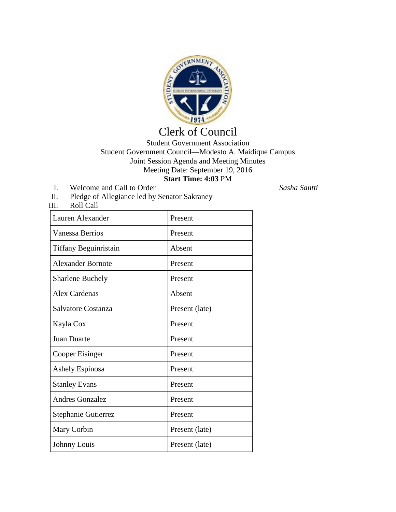

# Clerk of Council

# Student Government Association Student Government Council—Modesto A. Maidique Campus Joint Session Agenda and Meeting Minutes Meeting Date: September 19, 2016 **Start Time: 4:03** PM

I. Welcome and Call to Order *Sasha Santti*

III. Roll Call

II. Pledge of Allegiance led by Senator Sakraney

| Lauren Alexander         | Present        |
|--------------------------|----------------|
| <b>Vanessa Berrios</b>   | Present        |
| Tiffany Beguinristain    | Absent         |
| <b>Alexander Bornote</b> | Present        |
| <b>Sharlene Buchely</b>  | Present        |
| <b>Alex Cardenas</b>     | Absent         |
| Salvatore Costanza       | Present (late) |
| Kayla Cox                | Present        |
| <b>Juan Duarte</b>       | Present        |
| Cooper Eisinger          | Present        |
| <b>Ashely Espinosa</b>   | Present        |
| <b>Stanley Evans</b>     | Present        |
| <b>Andres Gonzalez</b>   | Present        |
| Stephanie Gutierrez      | Present        |
| Mary Corbin              | Present (late) |
| Johnny Louis             | Present (late) |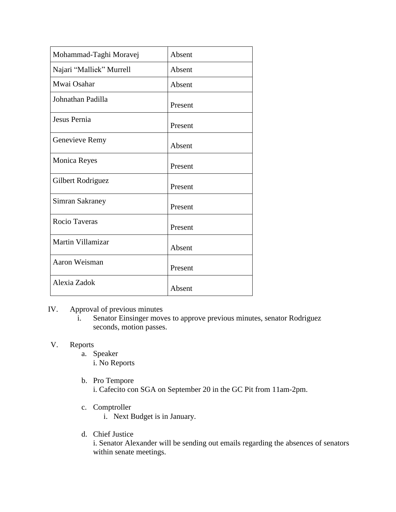| Mohammad-Taghi Moravej   | Absent  |
|--------------------------|---------|
| Najari "Malliek" Murrell | Absent  |
| Mwai Osahar              | Absent  |
| Johnathan Padilla        | Present |
| Jesus Pernia             | Present |
| Genevieve Remy           | Absent  |
| <b>Monica Reyes</b>      | Present |
| Gilbert Rodriguez        | Present |
| Simran Sakraney          | Present |
| Rocio Taveras            | Present |
| Martin Villamizar        | Absent  |
| Aaron Weisman            | Present |
| Alexia Zadok             | Absent  |

IV. Approval of previous minutes

i. Senator Einsinger moves to approve previous minutes, senator Rodriguez seconds, motion passes.

# V. Reports

- a. Speaker
	- i. No Reports
- b. Pro Tempore i. Cafecito con SGA on September 20 in the GC Pit from 11am-2pm.
- c. Comptroller
	- i. Next Budget is in January.
- d. Chief Justice

i. Senator Alexander will be sending out emails regarding the absences of senators within senate meetings.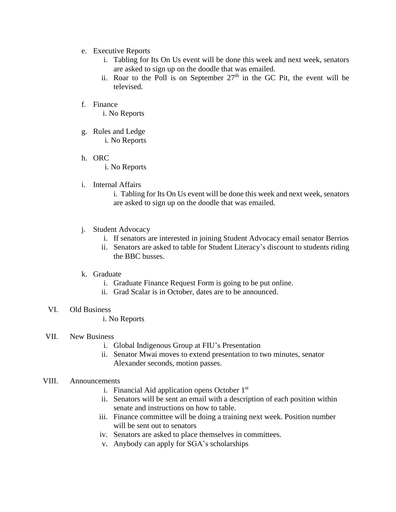- e. Executive Reports
	- i. Tabling for Its On Us event will be done this week and next week, senators are asked to sign up on the doodle that was emailed.
	- ii. Roar to the Poll is on September  $27<sup>th</sup>$  in the GC Pit, the event will be televised.
- f. Finance

i. No Reports

- g. Rules and Ledge i. No Reports
- h. ORC

i. No Reports

i. Internal Affairs

i. Tabling for Its On Us event will be done this week and next week, senators are asked to sign up on the doodle that was emailed.

- j. Student Advocacy
	- i. If senators are interested in joining Student Advocacy email senator Berrios
	- ii. Senators are asked to table for Student Literacy's discount to students riding the BBC busses.

## k. Graduate

- i. Graduate Finance Request Form is going to be put online.
- ii. Grad Scalar is in October, dates are to be announced.

#### VI. Old Business

i. No Reports

## VII. New Business

- i. Global Indigenous Group at FIU's Presentation
- ii. Senator Mwai moves to extend presentation to two minutes, senator Alexander seconds, motion passes.

#### VIII. Announcements

- i. Financial Aid application opens October 1<sup>st</sup>
- ii. Senators will be sent an email with a description of each position within senate and instructions on how to table.
- iii. Finance committee will be doing a training next week. Position number will be sent out to senators
- iv. Senators are asked to place themselves in committees.
- v. Anybody can apply for SGA's scholarships